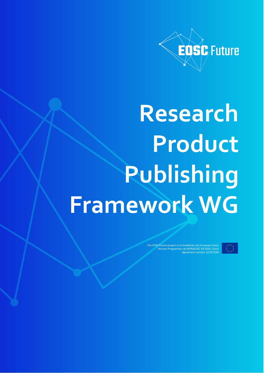

# **Research Product Publishing Framework WG**

EOSC Future project is co-funded by the European Union Horizon Programme call INFRAEOSC-03-2020, Grant greement number 10101753 $\overline{ }$ 

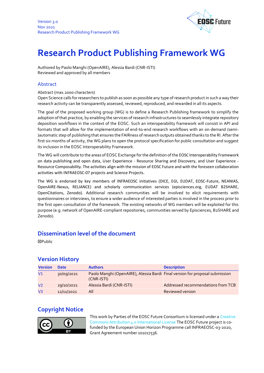

## **Research Product Publishing Framework WG**

Authored by Paolo Manghi (OpenAIRE), Alessia Bardi (CNR-ISTI) Reviewed and approved by all members

#### Abstract

#### Abstract (max.2000 characters)

Open Science calls for researchers to publish as soon as possible any type of research product in such a way their research activity can be transparently assessed, reviewed, reproduced, and rewarded in all its aspects.

The goal of the proposed working group (WG) is to define a Research Publishing framework to simplify the adoption of that practice, by enabling the services of research infrastructures to seamlessly integrate repository deposition workflows in the context of the EOSC. Such an interoperability framework will consist in API and formats that will allow for the implementation of end-to-end research workflows with an on-demand (semi- )automatic step of publishing that ensures the FAIRness of research outputs obtained thanks to the RI. After the first six months of activity, the WG plans to open the protocol specification for public consultation and suggest its inclusion in the EOSC Interoperability Framework.

The WG will contribute to the areas of EOSC Exchange for the definition of the EOSC Interoperability Framework on data publishing and open data, User Experience - Resource Sharing and Discovery, and User Experience - Resource Composability. The activities align with the mission of EOSC Future and with the foreseen collaboration activities with INFRAEOSC-07 projects and Science Projects.

The WG is endorsed by key members of INFRAEOSC initiatives (DICE, EGI, EUDAT, EOSC-Future, NEANIAS, OpenAIRE-Nexus, RELIANCE) and scholarly communication services (episciences.org, EUDAT B2SHARE, OpenCitations, Zenodo). Additional research communities will be involved to elicit requirements with questionnaires or interviews, to ensure a wider audience of interested parties is involved in the process prior to the first open consultation of the framework. The existing networks of WG members will be exploited for this purpose (e.g. network of OpenAIRE-compliant repositories, communities served by Episciences, B2SHARE and Zenodo).

#### **Dissemination level of the document**

☒Public

### **Version History**

| <b>Version</b> | <b>Date</b> | <b>Authors</b>                                                                             | <b>Description</b>                 |
|----------------|-------------|--------------------------------------------------------------------------------------------|------------------------------------|
| V <sub>1</sub> | 30/09/2021  | Paolo Manghi (OpenAIRE), Alessia Bardi Final version for proposal submission<br>(CNR-ISTI) |                                    |
| V <sub>2</sub> | 29/10/2021  | Alessia Bardi (CNR-ISTI)                                                                   | Addressed recommendations from TCB |
| V <sub>3</sub> | 12/11/2021  | All                                                                                        | <b>Reviewed version</b>            |

## **Copyright Notice**



This work by Parties of the EOSC Future Consortium is licensed under a Creative [Commons Attribution 4.0 International License](http://creativecommons.org/licenses/by/4.0/) The EOSC Future project is cofunded by the European Union Horizon Programme call INFRAEOSC-03-2020, Grant Agreement number 101017536.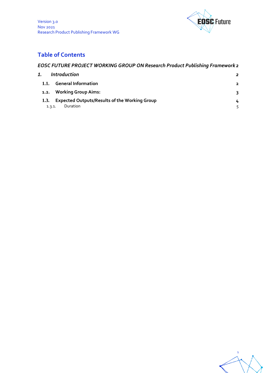



## **Table of Contents**

## *EOSC FUTURE PROJECT WORKING GROUP ON Research Product Publishing Framework 2*

| 1.   | <i><u><b>Introduction</b></u></i>                    | 2              |
|------|------------------------------------------------------|----------------|
| 1.1. | <b>General Information</b>                           | $\overline{2}$ |
| 1.2. | <b>Working Group Aims:</b>                           | 3              |
| 1.3. | <b>Expected Outputs/Results of the Working Group</b> | 4              |
|      | Duration<br>1.3.1.                                   |                |

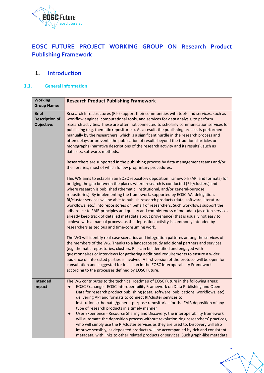

## **EOSC FUTURE PROJECT WORKING GROUP ON Research Product Publishing Framework**

## **1. Introduction**

#### **1.1. General Information**

| <b>Working</b><br><b>Group Name:</b>                | <b>Research Product Publishing Framework</b>                                                                                                                                                                                                                                                                                                                                                                                                                                                                                                                                                                                                                                                                                                                                                                                                                                                                      |  |  |
|-----------------------------------------------------|-------------------------------------------------------------------------------------------------------------------------------------------------------------------------------------------------------------------------------------------------------------------------------------------------------------------------------------------------------------------------------------------------------------------------------------------------------------------------------------------------------------------------------------------------------------------------------------------------------------------------------------------------------------------------------------------------------------------------------------------------------------------------------------------------------------------------------------------------------------------------------------------------------------------|--|--|
| <b>Brief</b><br><b>Description of</b><br>Objective: | Research Infrastructures (RIs) support their communities with tools and services, such as<br>workflow engines, computational tools, and services for data analysis, to perform<br>research activities. These are often not connected to scholarly communication services for<br>publishing (e.g. thematic repositories). As a result, the publishing process is performed<br>manually by the researchers, which is a significant hurdle in the research process and<br>often delays or prevents the publication of results beyond the traditional articles or<br>monographs (narrative descriptions of the research activity and its results), such as<br>datasets, software, methods.<br>Researchers are supported in the publishing process by data management teams and/or<br>the libraries, most of which follow proprietary procedures.                                                                      |  |  |
|                                                     | This WG aims to establish an EOSC repository deposition framework (API and formats) for<br>bridging the gap between the places where research is conducted (RIs/clusters) and<br>where research is published (thematic, institutional, and/or general-purpose<br>repositories). By implementing the framework, supported by EOSC AAI delegation,<br>RI/cluster services will be able to publish research products (data, software, literature,<br>workflows, etc.) into repositories on behalf of researchers. Such workflows support the<br>adherence to FAIR principles and quality and completeness of metadata (as often services<br>already keep track of detailed metadata about provenance) that is usually not easy to<br>achieve with a manual process, as the deposition activity is commonly intended by<br>researchers as tedious and time-consuming work.                                            |  |  |
|                                                     | The WG will identify real-case scenarios and integration patterns among the services of<br>the members of the WG. Thanks to a landscape study additional partners and services<br>(e.g. thematic repositories, clusters, RIs) can be identified and engaged with<br>questionnaires or interviews for gathering additional requirements to ensure a wider<br>audience of interested parties is involved. A first version of the protocol will be open for<br>consultation and suggested for inclusion in the EOSC Interoperability Framework<br>according to the processes defined by EOSC Future.                                                                                                                                                                                                                                                                                                                 |  |  |
| <b>Intended</b><br>Impact                           | The WG contributes to the technical roadmap of EOSC Future in the following areas:<br>EOSC Exchange - EOSC Interoperability Framework on Data Publishing and Open<br>Data for research product publishing (data, software, publications, workflows, etc):<br>delivering API and formats to connect RI/cluster services to<br>institutional/thematic/general-purpose repositories for the FAIR deposition of any<br>type of research products in a timely manner<br>User Experience - Resource Sharing and Discovery: the interoperability framework<br>will automate the deposition process without revolutionizing researchers' practices,<br>who will simply use the RI/cluster services as they are used to. Discovery will also<br>improve sensibly, as deposited products will be accompanied by rich and consistent<br>metadata, with links to other related products or services. Such graph-like metadata |  |  |

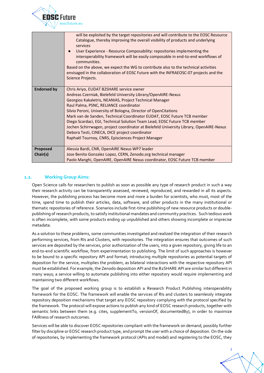

|                      | will be exploited by the target repositories and will contribute to the EOSC Resource<br>Catalogue, thereby improving the overall visibility of products and underlying<br>services<br>User Experience - Resource Composability: repositories implementing the<br>interoperability framework will be easily composable in end-to-end workflows of<br>communities.<br>Based on the above, we expect the WG to contribute also to the technical activities<br>envisaged in the collaboration of EOSC Future with the INFRAEOSC-07 projects and the<br>Science Projects.                                                                        |
|----------------------|----------------------------------------------------------------------------------------------------------------------------------------------------------------------------------------------------------------------------------------------------------------------------------------------------------------------------------------------------------------------------------------------------------------------------------------------------------------------------------------------------------------------------------------------------------------------------------------------------------------------------------------------|
| <b>Endorsed by</b>   | Chris Ariyo, EUDAT B2SHARE service owner<br>Andreas Czerniak, Bielefeld University Library/OpenAIRE-Nexus<br>Georgios Kakaletris, NEANIAS, Project Technical Manager<br>Raul Palma, PSNC, RELIANCE coordinator<br>Silvio Peroni, University of Bologna, Director of OpenCitations<br>Mark van de Sanden, Technical Coordinator EUDAT, EOSC Future TCB member<br>Diego Scardaci, EGI, Technical Solution Team Lead, EOSC Future TCB member<br>Jochen Schirrwagen, project coordinator at Bielefeld University Library, OpenAIRE-Nexus<br>Debora Testi, CINECA, DICE project coordinator<br>Raphaël Tournoy, CNRS, Episciences Project Manager |
| Proposed<br>Chair(s) | Alessia Bardi, CNR, OpenAIRE Nexus WP7 leader<br>Jose Benito Gonzalez Lopez, CERN, Zenodo.org technical manager<br>Paolo Manghi, OpenAIRE, OpenAIRE Nexus coordinator, EOSC Future TCB member                                                                                                                                                                                                                                                                                                                                                                                                                                                |

#### **1.2. Working Group Aims:**

Open Science calls for researchers to publish as soon as possible any type of research product in such a way their research activity can be transparently assessed, reviewed, reproduced, and rewarded in all its aspects. However, the publishing process has become more and more a burden for scientists, who must, most of the time, spend time to publish their articles, data, software, and other products in the many institutional or thematic repositories of reference. Scenarios include first-time publishing of new resource products or doublepublishing of research products, to satisfy institutional mandates and community practices. Such tedious work is often incomplete, with some products ending up unpublished and others showing incomplete or imprecise metadata.

As a solution to these problems, some communities investigated and realized the integration of their research performing services, from RIs and Clusters, with repositories. The integration ensures that outcomes of such services are deposited by the services, prior authorization of the users, into a given repository, giving life to an end-to-end scientific workflow, from experimentation to publishing. The limit of such approaches is however to be bound to a specific repository API and format; introducing multiple repositories as potential targets of deposition for the service, multiplies the problem, as bilateral interactions with the respective repository API must be established. For example, the Zenodo deposition API and the B2SHARE API are similar but different in many ways; a service willing to automate publishing into either repository would require implementing and maintaining two different workflows.

The goal of the proposed working group is to establish a Research Product Publishing interoperability framework for the EOSC. The framework will enable the services of RIs and clusters to seamlessly integrate repository deposition mechanisms that target any EOSC repository complying with the protocol specified by the framework. The protocol will expose actions to publish any kind of EOSC research products, together with semantic links between them (e.g. cites, supplementTo, versionOf, documentedBy), in order to maximize FAIRness of research outcomes.

Services will be able to discover EOSC repositories compliant with the framework on demand, possibly further filter by discipline or EOSC research product type, and prompt the user with a choice of deposition. On the side of repositories, by implementing the framework protocol (APIs and model) and registering to the EOSC, they

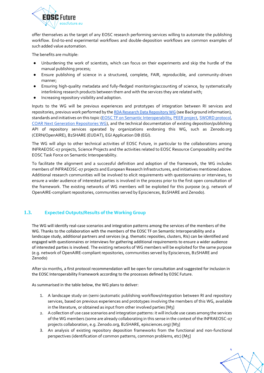

offer themselves as the target of any EOSC research performing services willing to automate the publishing workflow. End-to-end experimental workflows and double-deposition workflows are common examples of such added value automation.

The benefits are multiple:

- Unburdening the work of scientists, which can focus on their experiments and skip the hurdle of the manual publishing process;
- Ensure publishing of science in a structured, complete, FAIR, reproducible, and community-driven manner;
- Ensuring high-quality metadata and fully-fledged monitoring/accounting of science, by systematically interlinking research products between them and with the services they are related with;
- Increasing repository visibility and adoption.

Inputs to the WG will be previous experiences and prototypes of integration between RI services and repositories, previous work performed by the [RDA Research Data Repository WG](https://www.rd-alliance.org/groups/research-data-repository-interoperability-wg.html) (see Background information), standards and initiatives on this topic [\(EOSC TF on Semantic Interoperability,](https://www.eosc.eu/sites/default/files/tfcharters/eosca_tfsemanticinteroperability_draftcharter_20210614.pdf.) [PEER project,](http://www.peerproject.eu/) [SWORD protocol,](https://sword.cottagelabs.com/) [COAR Next Generation Repositories WG\)](https://www.coar-repositories.org/old-pages/activities/advocacy-leadership/working-group-next-generation-repositories/), and the technical documentation of existing deposition/publishing API of repository services operated by organizations endorsing this WG, such as Zenodo.org (CERN/OpenAIRE), B2SHARE (EUDAT), EGI Application DB (EGI).

The WG will align to other technical activities of EOSC Future, in particular to the collaborations among INFRAEOSC-07 projects, Science Projects and the activities related to EOSC Resource Composability and the EOSC Task Force on Semantic Interoperability.

To facilitate the alignment and a successful definition and adoption of the framework, the WG includes members of INFRAEOSC-07 projects and European Research Infrastructures, and initiatives mentioned above. Additional research communities will be involved to elicit requirements with questionnaires or interviews, to ensure a wider audience of interested parties is involved in the process prior to the first open consultation of the framework. The existing networks of WG members will be exploited for this purpose (e.g. network of OpenAIRE-compliant repositories, communities served by Episciences, B2SHARE and Zenodo).

#### **1.3. Expected Outputs/Results of the Working Group**

The WG will identify real-case scenarios and integration patterns among the services of the members of the WG. Thanks to the collaboration with the members of the EOSC TF on Semantic Interoperability and a landscape study, additional partners and services (e.g. thematic reposities, clusters, RIs) can be identified and engaged with questionnaires or interviews for gathering additional requirements to ensure a wider audience of interested parties is involved. The existing networks of WG members will be exploited for the same purpose (e.g. network of OpenAIRE-compliant repositories, communities served by Episciences, B2SHARE and Zenodo)

After six months, a first protocol recommendation will be open for consultation and suggested for inclusion in the EOSC Interoperability Framework according to the processes defined by EOSC Future.

As summarised in the table below, the WG plans to deliver:

- 1. A landscape study on (semi-)automatic publishing workflows/integration between RI and repository services, based on previous experiences and prototypes involving the members of this WG, available in the literature, or obtained as input from other involved parties [M3]
- 2. A collection of use case scenarios and integration patterns: it will include use cases among the services of the WG members (some are already collaborating in this sense in the context of the INFRAEOSC-07 projects collaboration, e.g. Zenodo.org, B2SHARE, episciences.org) [M3]
- 3. An analysis of existing repository deposition frameworks from the functional and non-functional perspectives (identification of common patterns, common problems, etc) [M5]

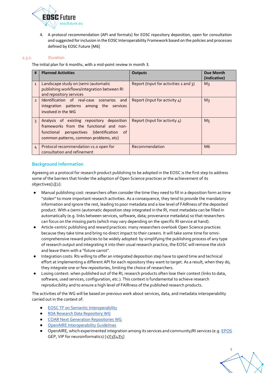

4. A protocol recommendation (API and formats) for EOSC repository deposition, open for consultation and suggested for inclusion in the EOSC Interoperability Framework based on the policies and processes defined by EOSC Future [M6]

#### 1.3.1. Duration

The initial plan for 6 months, with a mid-point review in month 3.

| #              | <b>Planned Activities</b>                                                                                                                                                                | <b>Outputs</b>                        | Due Month<br>(indicative) |
|----------------|------------------------------------------------------------------------------------------------------------------------------------------------------------------------------------------|---------------------------------------|---------------------------|
| $\mathbf{1}$   | Landscape study on (semi-)automatic<br>publishing workflows/integration between RI<br>and repository services                                                                            | Report (Input for activities 2 and 3) | $M_3$                     |
| $\overline{z}$ | Identification of real-case scenarios<br>and<br>integration patterns among the services<br>involved in the WG                                                                            | Report (Input for activity 4)         | $M_3$                     |
| $\overline{3}$ | Analysis of existing repository deposition<br>frameworks from the functional and non-<br>functional perspectives (identification<br>$\circ$ of<br>common patterns, common problems, etc) | Report (Input for activity 4)         | M <sub>5</sub>            |
| $\overline{4}$ | Protocol recommendation v1.0 open for<br>consultation and refinement                                                                                                                     | Recommendation                        | M <sub>6</sub>            |

#### **Background Information**

Agreeing on a protocol for research product publishing to be adopted in the EOSC is the first step to address some of the barriers that hinder the adoption of Open Science practices or the achievement of its objectives[1][2]:

- Manual publishing cost: researchers often consider the time they need to fill in a deposition form as time "stolen" to more important research activities. As a consequence, they tend to provide the mandatory information and ignore the rest, leading to poor metadata and a low level of FAIRness of the deposited product. With a (semi-)automatic deposition step integrated in the RI, most metadata can be filled in automatically (e.g. links between services, software, data; provenance metadata) so that researchers can focus on the missing parts (which may vary depending on the specific RI service at hand).
- Article-centric publishing and reward practices: many researchers overlook Open Science practices because they take time and bring no direct impact to their careers. It will take some time for omnicomprehensive reward policies to be widely adopted: by simplifying the publishing process of any type of research output and integrating it into their usual research practice, the EOSC will remove the stick and leave them with a "future carrot".
- Integration costs: RIs willing to offer an integrated deposition step have to spend time and technical effort at implementing a different API for each repository they want to target. As a result, when they do, they integrate one or few repositories, limiting the choice of researchers.
- Losing context: when published out of the RI, research products often lose their context (links to data, software, used services, configuration, etc.). This context is fundamental to achieve research reproducibility and to ensure a high level of FAIRness of the published research products.

The activities of the WG will be based on previous work about services, data, and metadata interoperability carried out in the context of:

- [EOSC TF on Semantic Interoperability](https://www.eosc.eu/sites/default/files/tfcharters/eosca_tfsemanticinteroperability_draftcharter_20210614.pdf.)
- [RDA Research Data Repository WG](https://www.rd-alliance.org/groups/research-data-repository-interoperability-wg.html)
- **[COAR Next Generation Repositories WG](https://www.coar-repositories.org/old-pages/activities/advocacy-leadership/working-group-next-generation-repositories/)**
- **[OpenAIRE Interoperability Guidelines](https://guidelines.openaire.eu/)**
- OpenAIRE, which experimented integration among its services and community/RI services (e.g[. EPOS](https://www.openaire.eu/enabling-open-science-publishing-for-research-infrastructures-the-epos-use-case) GEP, VIP for neuroinformatics) [1][3][4][5]